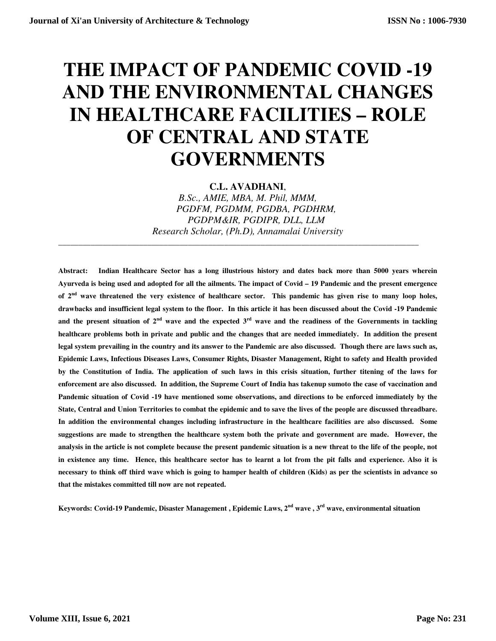# **THE IMPACT OF PANDEMIC COVID -19 AND THE ENVIRONMENTAL CHANGES IN HEALTHCARE FACILITIES – ROLE OF CENTRAL AND STATE GOVERNMENTS**

**C.L. AVADHANI**,

*B.Sc., AMIE, MBA, M. Phil, MMM, PGDFM, PGDMM, PGDBA, PGDHRM, PGDPM&IR, PGDIPR, DLL, LLM Research Scholar, (Ph.D), Annamalai University* 

**\_\_\_\_\_\_\_\_\_\_\_\_\_\_\_\_\_\_\_\_\_\_\_\_\_\_\_\_\_\_\_\_\_\_\_\_\_\_\_\_\_\_\_\_\_\_\_\_\_\_\_\_\_\_\_\_\_\_\_\_\_\_\_\_\_\_\_\_\_\_\_\_\_\_\_\_\_\_\_\_\_\_\_\_\_\_\_\_\_** 

**Abstract: Indian Healthcare Sector has a long illustrious history and dates back more than 5000 years wherein Ayurveda is being used and adopted for all the ailments. The impact of Covid – 19 Pandemic and the present emergence of 2nd wave threatened the very existence of healthcare sector. This pandemic has given rise to many loop holes, drawbacks and insufficient legal system to the floor. In this article it has been discussed about the Covid -19 Pandemic**  and the present situation of  $2<sup>nd</sup>$  wave and the expected  $3<sup>rd</sup>$  wave and the readiness of the Governments in tackling **healthcare problems both in private and public and the changes that are needed immediately. In addition the present legal system prevailing in the country and its answer to the Pandemic are also discussed. Though there are laws such as, Epidemic Laws, Infectious Diseases Laws, Consumer Rights, Disaster Management, Right to safety and Health provided by the Constitution of India. The application of such laws in this crisis situation, further titening of the laws for enforcement are also discussed. In addition, the Supreme Court of India has takenup sumoto the case of vaccination and Pandemic situation of Covid -19 have mentioned some observations, and directions to be enforced immediately by the State, Central and Union Territories to combat the epidemic and to save the lives of the people are discussed threadbare. In addition the environmental changes including infrastructure in the healthcare facilities are also discussed. Some suggestions are made to strengthen the healthcare system both the private and government are made. However, the analysis in the article is not complete because the present pandemic situation is a new threat to the life of the people, not in existence any time. Hence, this healthcare sector has to learnt a lot from the pit falls and experience. Also it is necessary to think off third wave which is going to hamper health of children (Kids) as per the scientists in advance so that the mistakes committed till now are not repeated.** 

**Keywords: Covid-19 Pandemic, Disaster Management , Epidemic Laws, 2nd wave , 3rd wave, environmental situation**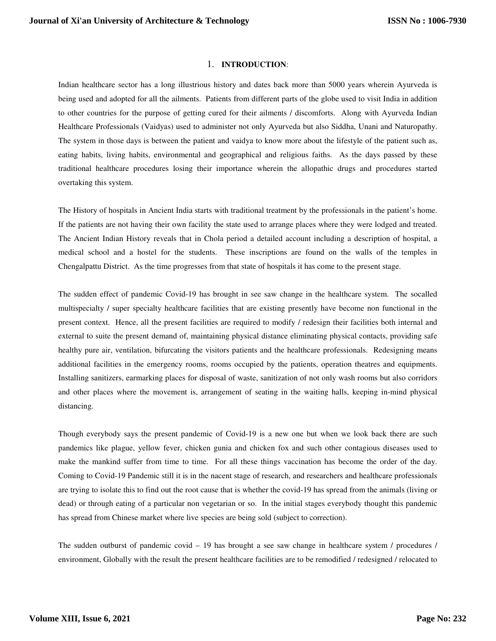#### 1. **INTRODUCTION**:

Indian healthcare sector has a long illustrious history and dates back more than 5000 years wherein Ayurveda is being used and adopted for all the ailments. Patients from different parts of the globe used to visit India in addition to other countries for the purpose of getting cured for their ailments / discomforts. Along with Ayurveda Indian Healthcare Professionals (Vaidyas) used to administer not only Ayurveda but also Siddha, Unani and Naturopathy. The system in those days is between the patient and vaidya to know more about the lifestyle of the patient such as, eating habits, living habits, environmental and geographical and religious faiths. As the days passed by these traditional healthcare procedures losing their importance wherein the allopathic drugs and procedures started overtaking this system.

The History of hospitals in Ancient India starts with traditional treatment by the professionals in the patient's home. If the patients are not having their own facility the state used to arrange places where they were lodged and treated. The Ancient Indian History reveals that in Chola period a detailed account including a description of hospital, a medical school and a hostel for the students. These inscriptions are found on the walls of the temples in Chengalpattu District. As the time progresses from that state of hospitals it has come to the present stage.

The sudden effect of pandemic Covid-19 has brought in see saw change in the healthcare system. The socalled multispecialty / super specialty healthcare facilities that are existing presently have become non functional in the present context. Hence, all the present facilities are required to modify / redesign their facilities both internal and external to suite the present demand of, maintaining physical distance eliminating physical contacts, providing safe healthy pure air, ventilation, bifurcating the visitors patients and the healthcare professionals. Redesigning means additional facilities in the emergency rooms, rooms occupied by the patients, operation theatres and equipments. Installing sanitizers, earmarking places for disposal of waste, sanitization of not only wash rooms but also corridors and other places where the movement is, arrangement of seating in the waiting halls, keeping in-mind physical distancing.

Though everybody says the present pandemic of Covid-19 is a new one but when we look back there are such pandemics like plague, yellow fever, chicken gunia and chicken fox and such other contagious diseases used to make the mankind suffer from time to time. For all these things vaccination has become the order of the day. Coming to Covid-19 Pandemic still it is in the nacent stage of research, and researchers and healthcare professionals are trying to isolate this to find out the root cause that is whether the covid-19 has spread from the animals (living or dead) or through eating of a particular non vegetarian or so. In the initial stages everybody thought this pandemic has spread from Chinese market where live species are being sold (subject to correction).

The sudden outburst of pandemic covid – 19 has brought a see saw change in healthcare system / procedures / environment, Globally with the result the present healthcare facilities are to be remodified / redesigned / relocated to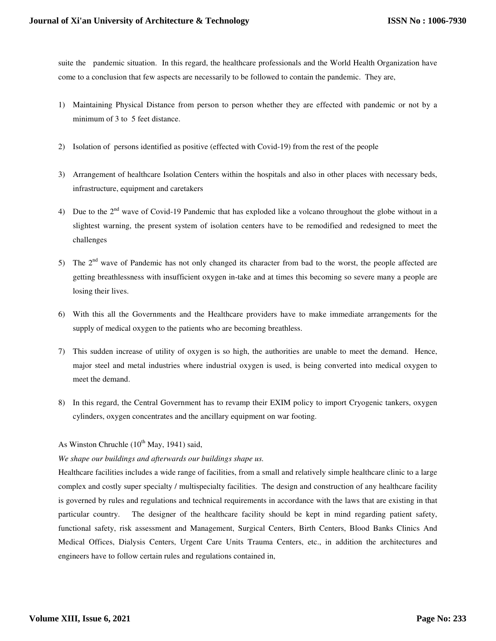suite the pandemic situation. In this regard, the healthcare professionals and the World Health Organization have come to a conclusion that few aspects are necessarily to be followed to contain the pandemic. They are,

- 1) Maintaining Physical Distance from person to person whether they are effected with pandemic or not by a minimum of 3 to 5 feet distance.
- 2) Isolation of persons identified as positive (effected with Covid-19) from the rest of the people
- 3) Arrangement of healthcare Isolation Centers within the hospitals and also in other places with necessary beds, infrastructure, equipment and caretakers
- 4) Due to the  $2<sup>nd</sup>$  wave of Covid-19 Pandemic that has exploded like a volcano throughout the globe without in a slightest warning, the present system of isolation centers have to be remodified and redesigned to meet the challenges
- 5) The 2<sup>nd</sup> wave of Pandemic has not only changed its character from bad to the worst, the people affected are getting breathlessness with insufficient oxygen in-take and at times this becoming so severe many a people are losing their lives.
- 6) With this all the Governments and the Healthcare providers have to make immediate arrangements for the supply of medical oxygen to the patients who are becoming breathless.
- 7) This sudden increase of utility of oxygen is so high, the authorities are unable to meet the demand. Hence, major steel and metal industries where industrial oxygen is used, is being converted into medical oxygen to meet the demand.
- 8) In this regard, the Central Government has to revamp their EXIM policy to import Cryogenic tankers, oxygen cylinders, oxygen concentrates and the ancillary equipment on war footing.

# As Winston Chruchle  $(10^{th}$  May, 1941) said,

#### *We shape our buildings and afterwards our buildings shape us.*

Healthcare facilities includes a wide range of facilities, from a small and relatively simple healthcare clinic to a large complex and costly super specialty / multispecialty facilities. The design and construction of any healthcare facility is governed by rules and regulations and technical requirements in accordance with the laws that are existing in that particular country. The designer of the healthcare facility should be kept in mind regarding patient safety, functional safety, risk assessment and Management, Surgical Centers, Birth Centers, Blood Banks Clinics And Medical Offices, Dialysis Centers, Urgent Care Units Trauma Centers, etc., in addition the architectures and engineers have to follow certain rules and regulations contained in,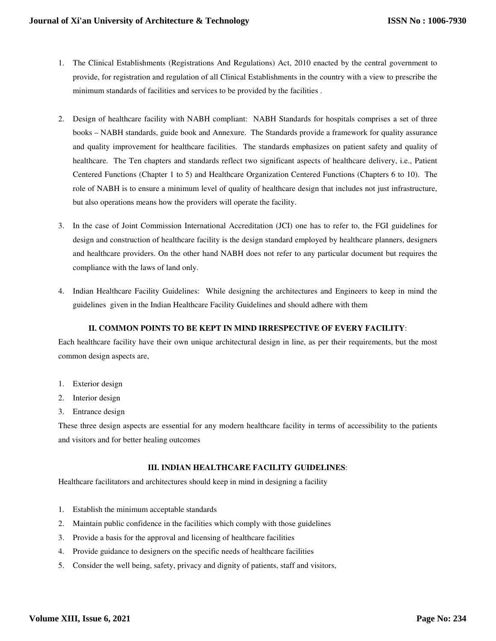- 1. The Clinical Establishments (Registrations And Regulations) Act, 2010 enacted by the central government to provide, for registration and regulation of all Clinical Establishments in the country with a view to prescribe the minimum standards of facilities and services to be provided by the facilities .
- 2. Design of healthcare facility with NABH compliant: NABH Standards for hospitals comprises a set of three books – NABH standards, guide book and Annexure. The Standards provide a framework for quality assurance and quality improvement for healthcare facilities. The standards emphasizes on patient safety and quality of healthcare. The Ten chapters and standards reflect two significant aspects of healthcare delivery, i.e., Patient Centered Functions (Chapter 1 to 5) and Healthcare Organization Centered Functions (Chapters 6 to 10). The role of NABH is to ensure a minimum level of quality of healthcare design that includes not just infrastructure, but also operations means how the providers will operate the facility.
- 3. In the case of Joint Commission International Accreditation (JCI) one has to refer to, the FGI guidelines for design and construction of healthcare facility is the design standard employed by healthcare planners, designers and healthcare providers. On the other hand NABH does not refer to any particular document but requires the compliance with the laws of land only.
- 4. Indian Healthcare Facility Guidelines: While designing the architectures and Engineers to keep in mind the guidelines given in the Indian Healthcare Facility Guidelines and should adhere with them

# **II. COMMON POINTS TO BE KEPT IN MIND IRRESPECTIVE OF EVERY FACILITY**:

Each healthcare facility have their own unique architectural design in line, as per their requirements, but the most common design aspects are,

- 1. Exterior design
- 2. Interior design
- 3. Entrance design

These three design aspects are essential for any modern healthcare facility in terms of accessibility to the patients and visitors and for better healing outcomes

#### **III. INDIAN HEALTHCARE FACILITY GUIDELINES**:

Healthcare facilitators and architectures should keep in mind in designing a facility

- 1. Establish the minimum acceptable standards
- 2. Maintain public confidence in the facilities which comply with those guidelines
- 3. Provide a basis for the approval and licensing of healthcare facilities
- 4. Provide guidance to designers on the specific needs of healthcare facilities
- 5. Consider the well being, safety, privacy and dignity of patients, staff and visitors,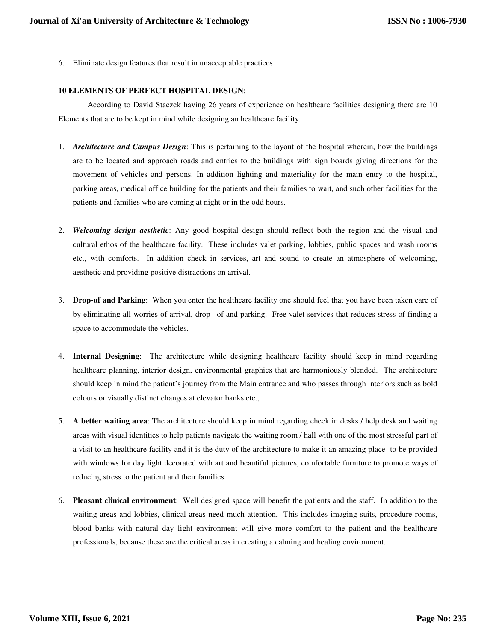6. Eliminate design features that result in unacceptable practices

# **10 ELEMENTS OF PERFECT HOSPITAL DESIGN**:

According to David Staczek having 26 years of experience on healthcare facilities designing there are 10 Elements that are to be kept in mind while designing an healthcare facility.

- 1. *Architecture and Campus Design*: This is pertaining to the layout of the hospital wherein, how the buildings are to be located and approach roads and entries to the buildings with sign boards giving directions for the movement of vehicles and persons. In addition lighting and materiality for the main entry to the hospital, parking areas, medical office building for the patients and their families to wait, and such other facilities for the patients and families who are coming at night or in the odd hours.
- 2. *Welcoming design aesthetic*: Any good hospital design should reflect both the region and the visual and cultural ethos of the healthcare facility. These includes valet parking, lobbies, public spaces and wash rooms etc., with comforts. In addition check in services, art and sound to create an atmosphere of welcoming, aesthetic and providing positive distractions on arrival.
- 3. **Drop-of and Parking**: When you enter the healthcare facility one should feel that you have been taken care of by eliminating all worries of arrival, drop –of and parking. Free valet services that reduces stress of finding a space to accommodate the vehicles.
- 4. **Internal Designing**: The architecture while designing healthcare facility should keep in mind regarding healthcare planning, interior design, environmental graphics that are harmoniously blended. The architecture should keep in mind the patient's journey from the Main entrance and who passes through interiors such as bold colours or visually distinct changes at elevator banks etc.,
- 5. **A better waiting area**: The architecture should keep in mind regarding check in desks / help desk and waiting areas with visual identities to help patients navigate the waiting room / hall with one of the most stressful part of a visit to an healthcare facility and it is the duty of the architecture to make it an amazing place to be provided with windows for day light decorated with art and beautiful pictures, comfortable furniture to promote ways of reducing stress to the patient and their families.
- 6. **Pleasant clinical environment**: Well designed space will benefit the patients and the staff. In addition to the waiting areas and lobbies, clinical areas need much attention. This includes imaging suits, procedure rooms, blood banks with natural day light environment will give more comfort to the patient and the healthcare professionals, because these are the critical areas in creating a calming and healing environment.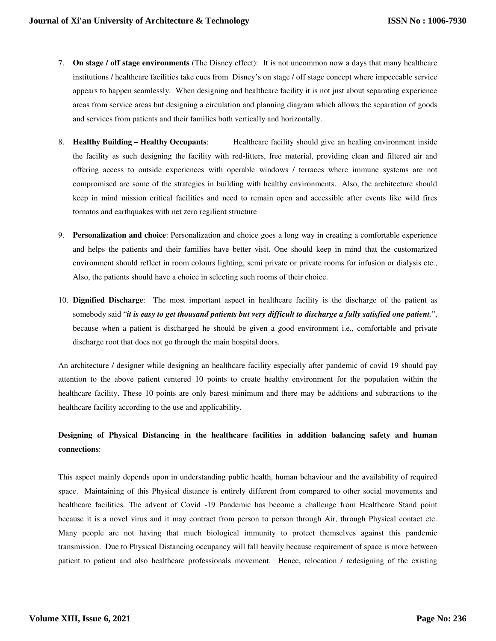- 7. **On stage / off stage environments** (The Disney effect): It is not uncommon now a days that many healthcare institutions / healthcare facilities take cues from Disney's on stage / off stage concept where impeccable service appears to happen seamlessly. When designing and healthcare facility it is not just about separating experience areas from service areas but designing a circulation and planning diagram which allows the separation of goods and services from patients and their families both vertically and horizontally.
- 8. **Healthy Building Healthy Occupants**: Healthcare facility should give an healing environment inside the facility as such designing the facility with red-litters, free material, providing clean and filtered air and offering access to outside experiences with operable windows / terraces where immune systems are not compromised are some of the strategies in building with healthy environments. Also, the architecture should keep in mind mission critical facilities and need to remain open and accessible after events like wild fires tornatos and earthquakes with net zero regilient structure
- 9. **Personalization and choice**: Personalization and choice goes a long way in creating a comfortable experience and helps the patients and their families have better visit. One should keep in mind that the customarized environment should reflect in room colours lighting, semi private or private rooms for infusion or dialysis etc., Also, the patients should have a choice in selecting such rooms of their choice.
- 10. **Dignified Discharge**: The most important aspect in healthcare facility is the discharge of the patient as somebody said "*it is easy to get thousand patients but very difficult to discharge a fully satisfied one patient.*", because when a patient is discharged he should be given a good environment i.e., comfortable and private discharge root that does not go through the main hospital doors.

An architecture / designer while designing an healthcare facility especially after pandemic of covid 19 should pay attention to the above patient centered 10 points to create healthy environment for the population within the healthcare facility. These 10 points are only barest minimum and there may be additions and subtractions to the healthcare facility according to the use and applicability.

# **Designing of Physical Distancing in the healthcare facilities in addition balancing safety and human connections**:

This aspect mainly depends upon in understanding public health, human behaviour and the availability of required space. Maintaining of this Physical distance is entirely different from compared to other social movements and healthcare facilities. The advent of Covid -19 Pandemic has become a challenge from Healthcare Stand point because it is a novel virus and it may contract from person to person through Air, through Physical contact etc. Many people are not having that much biological immunity to protect themselves against this pandemic transmission. Due to Physical Distancing occupancy will fall heavily because requirement of space is more between patient to patient and also healthcare professionals movement. Hence, relocation / redesigning of the existing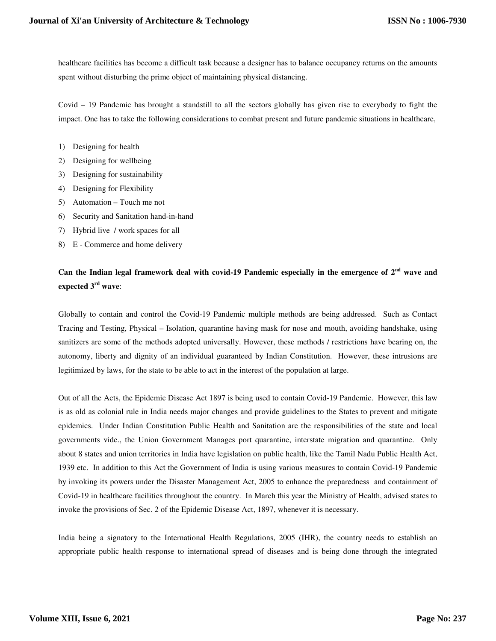healthcare facilities has become a difficult task because a designer has to balance occupancy returns on the amounts spent without disturbing the prime object of maintaining physical distancing.

Covid – 19 Pandemic has brought a standstill to all the sectors globally has given rise to everybody to fight the impact. One has to take the following considerations to combat present and future pandemic situations in healthcare,

- 1) Designing for health
- 2) Designing for wellbeing
- 3) Designing for sustainability
- 4) Designing for Flexibility
- 5) Automation Touch me not
- 6) Security and Sanitation hand-in-hand
- 7) Hybrid live / work spaces for all
- 8) E Commerce and home delivery

# **Can the Indian legal framework deal with covid-19 Pandemic especially in the emergence of 2nd wave and expected 3rd wave**:

Globally to contain and control the Covid-19 Pandemic multiple methods are being addressed. Such as Contact Tracing and Testing, Physical – Isolation, quarantine having mask for nose and mouth, avoiding handshake, using sanitizers are some of the methods adopted universally. However, these methods / restrictions have bearing on, the autonomy, liberty and dignity of an individual guaranteed by Indian Constitution. However, these intrusions are legitimized by laws, for the state to be able to act in the interest of the population at large.

Out of all the Acts, the Epidemic Disease Act 1897 is being used to contain Covid-19 Pandemic. However, this law is as old as colonial rule in India needs major changes and provide guidelines to the States to prevent and mitigate epidemics. Under Indian Constitution Public Health and Sanitation are the responsibilities of the state and local governments vide., the Union Government Manages port quarantine, interstate migration and quarantine. Only about 8 states and union territories in India have legislation on public health, like the Tamil Nadu Public Health Act, 1939 etc. In addition to this Act the Government of India is using various measures to contain Covid-19 Pandemic by invoking its powers under the Disaster Management Act, 2005 to enhance the preparedness and containment of Covid-19 in healthcare facilities throughout the country. In March this year the Ministry of Health, advised states to invoke the provisions of Sec. 2 of the Epidemic Disease Act, 1897, whenever it is necessary.

India being a signatory to the International Health Regulations, 2005 (IHR), the country needs to establish an appropriate public health response to international spread of diseases and is being done through the integrated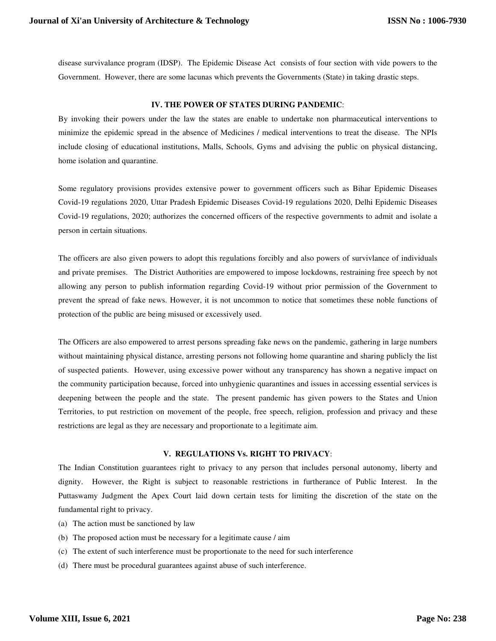disease survivalance program (IDSP). The Epidemic Disease Act consists of four section with vide powers to the Government. However, there are some lacunas which prevents the Governments (State) in taking drastic steps.

#### **IV. THE POWER OF STATES DURING PANDEMIC**:

By invoking their powers under the law the states are enable to undertake non pharmaceutical interventions to minimize the epidemic spread in the absence of Medicines / medical interventions to treat the disease. The NPIs include closing of educational institutions, Malls, Schools, Gyms and advising the public on physical distancing, home isolation and quarantine.

Some regulatory provisions provides extensive power to government officers such as Bihar Epidemic Diseases Covid-19 regulations 2020, Uttar Pradesh Epidemic Diseases Covid-19 regulations 2020, Delhi Epidemic Diseases Covid-19 regulations, 2020; authorizes the concerned officers of the respective governments to admit and isolate a person in certain situations.

The officers are also given powers to adopt this regulations forcibly and also powers of survivlance of individuals and private premises. The District Authorities are empowered to impose lockdowns, restraining free speech by not allowing any person to publish information regarding Covid-19 without prior permission of the Government to prevent the spread of fake news. However, it is not uncommon to notice that sometimes these noble functions of protection of the public are being misused or excessively used.

The Officers are also empowered to arrest persons spreading fake news on the pandemic, gathering in large numbers without maintaining physical distance, arresting persons not following home quarantine and sharing publicly the list of suspected patients. However, using excessive power without any transparency has shown a negative impact on the community participation because, forced into unhygienic quarantines and issues in accessing essential services is deepening between the people and the state. The present pandemic has given powers to the States and Union Territories, to put restriction on movement of the people, free speech, religion, profession and privacy and these restrictions are legal as they are necessary and proportionate to a legitimate aim.

## **V. REGULATIONS Vs. RIGHT TO PRIVACY**:

The Indian Constitution guarantees right to privacy to any person that includes personal autonomy, liberty and dignity. However, the Right is subject to reasonable restrictions in furtherance of Public Interest. In the Puttaswamy Judgment the Apex Court laid down certain tests for limiting the discretion of the state on the fundamental right to privacy.

- (a) The action must be sanctioned by law
- (b) The proposed action must be necessary for a legitimate cause / aim
- (c) The extent of such interference must be proportionate to the need for such interference
- (d) There must be procedural guarantees against abuse of such interference.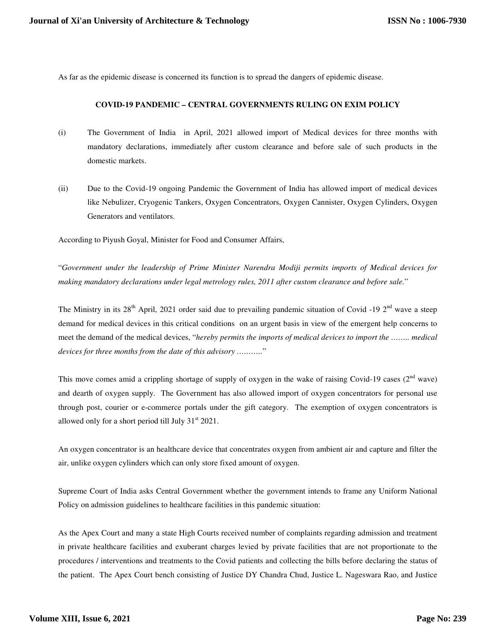As far as the epidemic disease is concerned its function is to spread the dangers of epidemic disease.

#### **COVID-19 PANDEMIC – CENTRAL GOVERNMENTS RULING ON EXIM POLICY**

- (i) The Government of India in April, 2021 allowed import of Medical devices for three months with mandatory declarations, immediately after custom clearance and before sale of such products in the domestic markets.
- (ii) Due to the Covid-19 ongoing Pandemic the Government of India has allowed import of medical devices like Nebulizer, Cryogenic Tankers, Oxygen Concentrators, Oxygen Cannister, Oxygen Cylinders, Oxygen Generators and ventilators.

According to Piyush Goyal, Minister for Food and Consumer Affairs,

"*Government under the leadership of Prime Minister Narendra Modiji permits imports of Medical devices for making mandatory declarations under legal metrology rules, 2011 after custom clearance and before sale.*"

The Ministry in its  $28^{th}$  April, 2021 order said due to prevailing pandemic situation of Covid -19  $2^{nd}$  wave a steep demand for medical devices in this critical conditions on an urgent basis in view of the emergent help concerns to meet the demand of the medical devices, "*hereby permits the imports of medical devices to import the …….. medical devices for three months from the date of this advisory ………..*"

This move comes amid a crippling shortage of supply of oxygen in the wake of raising Covid-19 cases  $(2<sup>nd</sup> wave)$ and dearth of oxygen supply. The Government has also allowed import of oxygen concentrators for personal use through post, courier or e-commerce portals under the gift category. The exemption of oxygen concentrators is allowed only for a short period till July  $31<sup>st</sup> 2021$ .

An oxygen concentrator is an healthcare device that concentrates oxygen from ambient air and capture and filter the air, unlike oxygen cylinders which can only store fixed amount of oxygen.

Supreme Court of India asks Central Government whether the government intends to frame any Uniform National Policy on admission guidelines to healthcare facilities in this pandemic situation:

As the Apex Court and many a state High Courts received number of complaints regarding admission and treatment in private healthcare facilities and exuberant charges levied by private facilities that are not proportionate to the procedures / interventions and treatments to the Covid patients and collecting the bills before declaring the status of the patient. The Apex Court bench consisting of Justice DY Chandra Chud, Justice L. Nageswara Rao, and Justice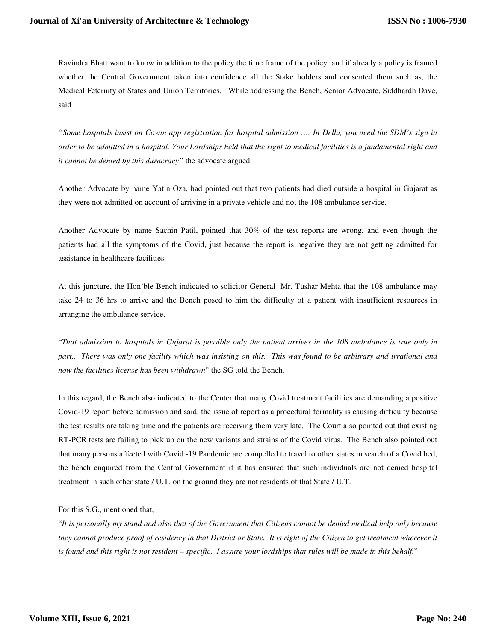Ravindra Bhatt want to know in addition to the policy the time frame of the policy and if already a policy is framed whether the Central Government taken into confidence all the Stake holders and consented them such as, the Medical Feternity of States and Union Territories. While addressing the Bench, Senior Advocate, Siddhardh Dave, said

*"Some hospitals insist on Cowin app registration for hospital admission …. In Delhi, you need the SDM's sign in order to be admitted in a hospital. Your Lordships held that the right to medical facilities is a fundamental right and it cannot be denied by this duracracy"* the advocate argued.

Another Advocate by name Yatin Oza, had pointed out that two patients had died outside a hospital in Gujarat as they were not admitted on account of arriving in a private vehicle and not the 108 ambulance service.

Another Advocate by name Sachin Patil, pointed that 30% of the test reports are wrong, and even though the patients had all the symptoms of the Covid, just because the report is negative they are not getting admitted for assistance in healthcare facilities.

At this juncture, the Hon'ble Bench indicated to solicitor General Mr. Tushar Mehta that the 108 ambulance may take 24 to 36 hrs to arrive and the Bench posed to him the difficulty of a patient with insufficient resources in arranging the ambulance service.

"*That admission to hospitals in Gujarat is possible only the patient arrives in the 108 ambulance is true only in*  part,. There was only one facility which was insisting on this. This was found to be arbitrary and irrational and *now the facilities license has been withdrawn*" the SG told the Bench.

In this regard, the Bench also indicated to the Center that many Covid treatment facilities are demanding a positive Covid-19 report before admission and said, the issue of report as a procedural formality is causing difficulty because the test results are taking time and the patients are receiving them very late. The Court also pointed out that existing RT-PCR tests are failing to pick up on the new variants and strains of the Covid virus. The Bench also pointed out that many persons affected with Covid -19 Pandemic are compelled to travel to other states in search of a Covid bed, the bench enquired from the Central Government if it has ensured that such individuals are not denied hospital treatment in such other state / U.T. on the ground they are not residents of that State / U.T.

#### For this S.G., mentioned that,

"*It is personally my stand and also that of the Government that Citizens cannot be denied medical help only because they cannot produce proof of residency in that District or State. It is right of the Citizen to get treatment wherever it is found and this right is not resident – specific. I assure your lordships that rules will be made in this behalf.*"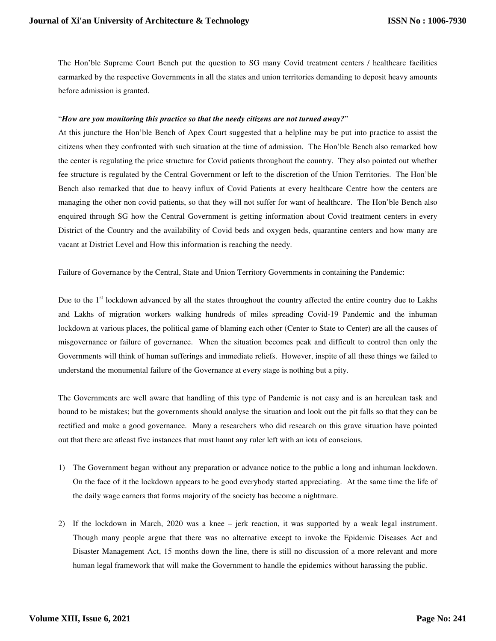The Hon'ble Supreme Court Bench put the question to SG many Covid treatment centers / healthcare facilities earmarked by the respective Governments in all the states and union territories demanding to deposit heavy amounts before admission is granted.

#### "*How are you monitoring this practice so that the needy citizens are not turned away?*"

At this juncture the Hon'ble Bench of Apex Court suggested that a helpline may be put into practice to assist the citizens when they confronted with such situation at the time of admission. The Hon'ble Bench also remarked how the center is regulating the price structure for Covid patients throughout the country. They also pointed out whether fee structure is regulated by the Central Government or left to the discretion of the Union Territories. The Hon'ble Bench also remarked that due to heavy influx of Covid Patients at every healthcare Centre how the centers are managing the other non covid patients, so that they will not suffer for want of healthcare. The Hon'ble Bench also enquired through SG how the Central Government is getting information about Covid treatment centers in every District of the Country and the availability of Covid beds and oxygen beds, quarantine centers and how many are vacant at District Level and How this information is reaching the needy.

Failure of Governance by the Central, State and Union Territory Governments in containing the Pandemic:

Due to the 1<sup>st</sup> lockdown advanced by all the states throughout the country affected the entire country due to Lakhs and Lakhs of migration workers walking hundreds of miles spreading Covid-19 Pandemic and the inhuman lockdown at various places, the political game of blaming each other (Center to State to Center) are all the causes of misgovernance or failure of governance. When the situation becomes peak and difficult to control then only the Governments will think of human sufferings and immediate reliefs. However, inspite of all these things we failed to understand the monumental failure of the Governance at every stage is nothing but a pity.

The Governments are well aware that handling of this type of Pandemic is not easy and is an herculean task and bound to be mistakes; but the governments should analyse the situation and look out the pit falls so that they can be rectified and make a good governance. Many a researchers who did research on this grave situation have pointed out that there are atleast five instances that must haunt any ruler left with an iota of conscious.

- 1) The Government began without any preparation or advance notice to the public a long and inhuman lockdown. On the face of it the lockdown appears to be good everybody started appreciating. At the same time the life of the daily wage earners that forms majority of the society has become a nightmare.
- 2) If the lockdown in March, 2020 was a knee jerk reaction, it was supported by a weak legal instrument. Though many people argue that there was no alternative except to invoke the Epidemic Diseases Act and Disaster Management Act, 15 months down the line, there is still no discussion of a more relevant and more human legal framework that will make the Government to handle the epidemics without harassing the public.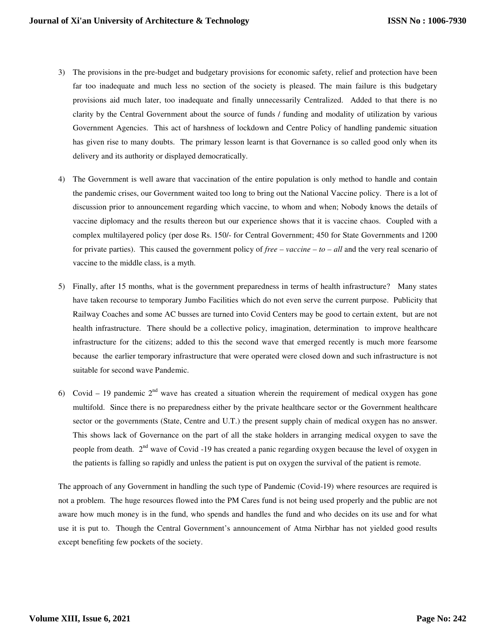- 3) The provisions in the pre-budget and budgetary provisions for economic safety, relief and protection have been far too inadequate and much less no section of the society is pleased. The main failure is this budgetary provisions aid much later, too inadequate and finally unnecessarily Centralized. Added to that there is no clarity by the Central Government about the source of funds / funding and modality of utilization by various Government Agencies. This act of harshness of lockdown and Centre Policy of handling pandemic situation has given rise to many doubts. The primary lesson learnt is that Governance is so called good only when its delivery and its authority or displayed democratically.
- 4) The Government is well aware that vaccination of the entire population is only method to handle and contain the pandemic crises, our Government waited too long to bring out the National Vaccine policy. There is a lot of discussion prior to announcement regarding which vaccine, to whom and when; Nobody knows the details of vaccine diplomacy and the results thereon but our experience shows that it is vaccine chaos. Coupled with a complex multilayered policy (per dose Rs. 150/- for Central Government; 450 for State Governments and 1200 for private parties). This caused the government policy of *free – vaccine – to – all* and the very real scenario of vaccine to the middle class, is a myth.
- 5) Finally, after 15 months, what is the government preparedness in terms of health infrastructure? Many states have taken recourse to temporary Jumbo Facilities which do not even serve the current purpose. Publicity that Railway Coaches and some AC busses are turned into Covid Centers may be good to certain extent, but are not health infrastructure. There should be a collective policy, imagination, determination to improve healthcare infrastructure for the citizens; added to this the second wave that emerged recently is much more fearsome because the earlier temporary infrastructure that were operated were closed down and such infrastructure is not suitable for second wave Pandemic.
- 6) Covid 19 pandemic  $2<sup>nd</sup>$  wave has created a situation wherein the requirement of medical oxygen has gone multifold. Since there is no preparedness either by the private healthcare sector or the Government healthcare sector or the governments (State, Centre and U.T.) the present supply chain of medical oxygen has no answer. This shows lack of Governance on the part of all the stake holders in arranging medical oxygen to save the people from death.  $2<sup>nd</sup>$  wave of Covid -19 has created a panic regarding oxygen because the level of oxygen in the patients is falling so rapidly and unless the patient is put on oxygen the survival of the patient is remote.

The approach of any Government in handling the such type of Pandemic (Covid-19) where resources are required is not a problem. The huge resources flowed into the PM Cares fund is not being used properly and the public are not aware how much money is in the fund, who spends and handles the fund and who decides on its use and for what use it is put to. Though the Central Government's announcement of Atma Nirbhar has not yielded good results except benefiting few pockets of the society.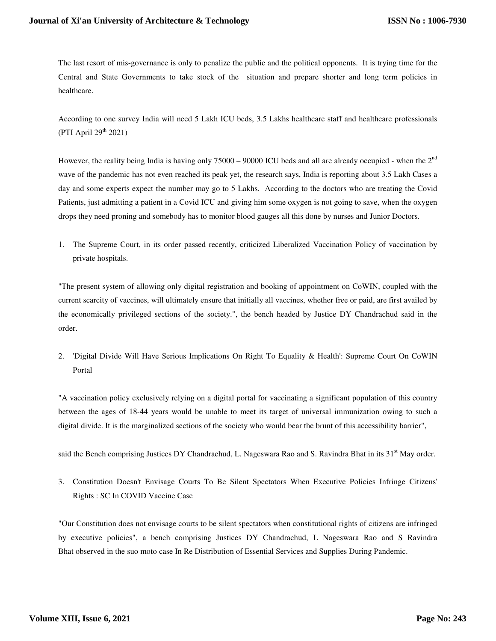The last resort of mis-governance is only to penalize the public and the political opponents. It is trying time for the Central and State Governments to take stock of the situation and prepare shorter and long term policies in healthcare.

According to one survey India will need 5 Lakh ICU beds, 3.5 Lakhs healthcare staff and healthcare professionals (PTI April  $29<sup>th</sup> 2021$ )

However, the reality being India is having only  $75000 - 90000$  ICU beds and all are already occupied - when the  $2<sup>nd</sup>$ wave of the pandemic has not even reached its peak yet, the research says, India is reporting about 3.5 Lakh Cases a day and some experts expect the number may go to 5 Lakhs. According to the doctors who are treating the Covid Patients, just admitting a patient in a Covid ICU and giving him some oxygen is not going to save, when the oxygen drops they need proning and somebody has to monitor blood gauges all this done by nurses and Junior Doctors.

1. The Supreme Court, in its order passed recently, criticized Liberalized Vaccination Policy of vaccination by private hospitals.

"The present system of allowing only digital registration and booking of appointment on CoWIN, coupled with the current scarcity of vaccines, will ultimately ensure that initially all vaccines, whether free or paid, are first availed by the economically privileged sections of the society.", the bench headed by Justice DY Chandrachud said in the order.

2. 'Digital Divide Will Have Serious Implications On Right To Equality & Health': Supreme Court On CoWIN Portal

"A vaccination policy exclusively relying on a digital portal for vaccinating a significant population of this country between the ages of 18-44 years would be unable to meet its target of universal immunization owing to such a digital divide. It is the marginalized sections of the society who would bear the brunt of this accessibility barrier",

said the Bench comprising Justices DY Chandrachud, L. Nageswara Rao and S. Ravindra Bhat in its 31<sup>st</sup> May order.

3. Constitution Doesn't Envisage Courts To Be Silent Spectators When Executive Policies Infringe Citizens' Rights : SC In COVID Vaccine Case

"Our Constitution does not envisage courts to be silent spectators when constitutional rights of citizens are infringed by executive policies", a bench comprising Justices DY Chandrachud, L Nageswara Rao and S Ravindra Bhat observed in the suo moto case In Re Distribution of Essential Services and Supplies During Pandemic.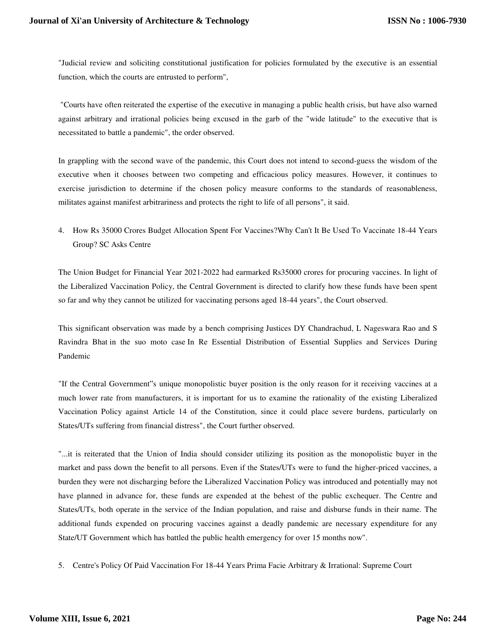"Judicial review and soliciting constitutional justification for policies formulated by the executive is an essential function, which the courts are entrusted to perform",

 "Courts have often reiterated the expertise of the executive in managing a public health crisis, but have also warned against arbitrary and irrational policies being excused in the garb of the "wide latitude" to the executive that is necessitated to battle a pandemic", the order observed.

In grappling with the second wave of the pandemic, this Court does not intend to second-guess the wisdom of the executive when it chooses between two competing and efficacious policy measures. However, it continues to exercise jurisdiction to determine if the chosen policy measure conforms to the standards of reasonableness, militates against manifest arbitrariness and protects the right to life of all persons", it said.

4. How Rs 35000 Crores Budget Allocation Spent For Vaccines?Why Can't It Be Used To Vaccinate 18-44 Years Group? SC Asks Centre

The Union Budget for Financial Year 2021-2022 had earmarked Rs35000 crores for procuring vaccines. In light of the Liberalized Vaccination Policy, the Central Government is directed to clarify how these funds have been spent so far and why they cannot be utilized for vaccinating persons aged 18-44 years", the Court observed.

This significant observation was made by a bench comprising Justices DY Chandrachud, L Nageswara Rao and S Ravindra Bhat in the suo moto case In Re Essential Distribution of Essential Supplies and Services During Pandemic

"If the Central Government"s unique monopolistic buyer position is the only reason for it receiving vaccines at a much lower rate from manufacturers, it is important for us to examine the rationality of the existing Liberalized Vaccination Policy against Article 14 of the Constitution, since it could place severe burdens, particularly on States/UTs suffering from financial distress", the Court further observed.

"...it is reiterated that the Union of India should consider utilizing its position as the monopolistic buyer in the market and pass down the benefit to all persons. Even if the States/UTs were to fund the higher-priced vaccines, a burden they were not discharging before the Liberalized Vaccination Policy was introduced and potentially may not have planned in advance for, these funds are expended at the behest of the public exchequer. The Centre and States/UTs, both operate in the service of the Indian population, and raise and disburse funds in their name. The additional funds expended on procuring vaccines against a deadly pandemic are necessary expenditure for any State/UT Government which has battled the public health emergency for over 15 months now".

5. Centre's Policy Of Paid Vaccination For 18-44 Years Prima Facie Arbitrary & Irrational: Supreme Court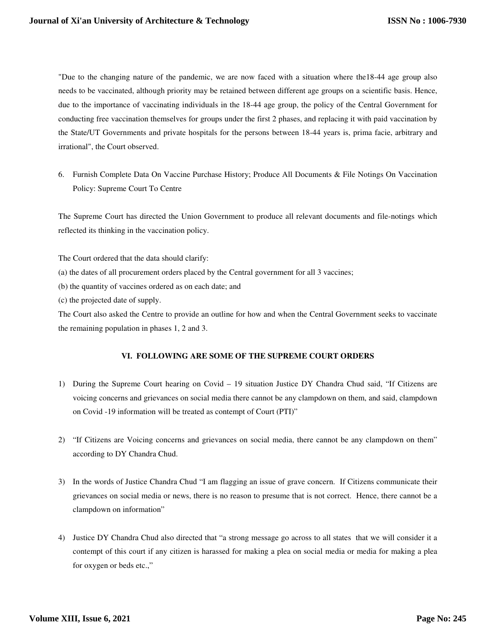"Due to the changing nature of the pandemic, we are now faced with a situation where the18-44 age group also needs to be vaccinated, although priority may be retained between different age groups on a scientific basis. Hence, due to the importance of vaccinating individuals in the 18-44 age group, the policy of the Central Government for conducting free vaccination themselves for groups under the first 2 phases, and replacing it with paid vaccination by the State/UT Governments and private hospitals for the persons between 18-44 years is, prima facie, arbitrary and irrational", the Court observed.

6. Furnish Complete Data On Vaccine Purchase History; Produce All Documents & File Notings On Vaccination Policy: Supreme Court To Centre

The Supreme Court has directed the Union Government to produce all relevant documents and file-notings which reflected its thinking in the vaccination policy.

The Court ordered that the data should clarify:

- (a) the dates of all procurement orders placed by the Central government for all 3 vaccines;
- (b) the quantity of vaccines ordered as on each date; and
- (c) the projected date of supply.

The Court also asked the Centre to provide an outline for how and when the Central Government seeks to vaccinate the remaining population in phases 1, 2 and 3.

# **VI. FOLLOWING ARE SOME OF THE SUPREME COURT ORDERS**

- 1) During the Supreme Court hearing on Covid 19 situation Justice DY Chandra Chud said, "If Citizens are voicing concerns and grievances on social media there cannot be any clampdown on them, and said, clampdown on Covid -19 information will be treated as contempt of Court (PTI)"
- 2) "If Citizens are Voicing concerns and grievances on social media, there cannot be any clampdown on them" according to DY Chandra Chud.
- 3) In the words of Justice Chandra Chud "I am flagging an issue of grave concern. If Citizens communicate their grievances on social media or news, there is no reason to presume that is not correct. Hence, there cannot be a clampdown on information"
- 4) Justice DY Chandra Chud also directed that "a strong message go across to all states that we will consider it a contempt of this court if any citizen is harassed for making a plea on social media or media for making a plea for oxygen or beds etc.,"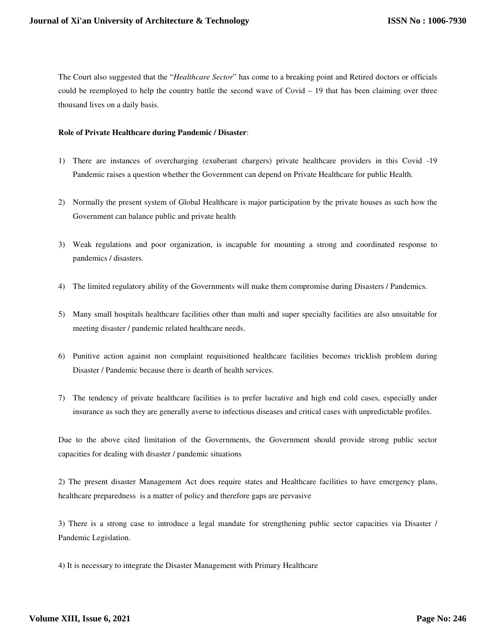The Court also suggested that the "*Healthcare Sector*" has come to a breaking point and Retired doctors or officials could be reemployed to help the country battle the second wave of Covid – 19 that has been claiming over three thousand lives on a daily basis.

#### **Role of Private Healthcare during Pandemic / Disaster**:

- 1) There are instances of overcharging (exuberant chargers) private healthcare providers in this Covid -19 Pandemic raises a question whether the Government can depend on Private Healthcare for public Health.
- 2) Normally the present system of Global Healthcare is major participation by the private houses as such how the Government can balance public and private health
- 3) Weak regulations and poor organization, is incapable for mounting a strong and coordinated response to pandemics / disasters.
- 4) The limited regulatory ability of the Governments will make them compromise during Disasters / Pandemics.
- 5) Many small hospitals healthcare facilities other than multi and super specialty facilities are also unsuitable for meeting disaster / pandemic related healthcare needs.
- 6) Punitive action against non complaint requisitioned healthcare facilities becomes tricklish problem during Disaster / Pandemic because there is dearth of health services.
- 7) The tendency of private healthcare facilities is to prefer lucrative and high end cold cases, especially under insurance as such they are generally averse to infectious diseases and critical cases with unpredictable profiles.

Due to the above cited limitation of the Governments, the Government should provide strong public sector capacities for dealing with disaster / pandemic situations

2) The present disaster Management Act does require states and Healthcare facilities to have emergency plans, healthcare preparedness is a matter of policy and therefore gaps are pervasive

3) There is a strong case to introduce a legal mandate for strengthening public sector capacities via Disaster / Pandemic Legislation.

4) It is necessary to integrate the Disaster Management with Primary Healthcare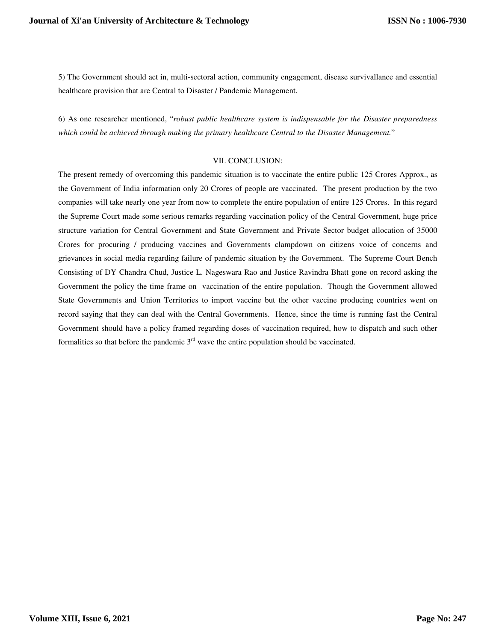5) The Government should act in, multi-sectoral action, community engagement, disease survivallance and essential healthcare provision that are Central to Disaster / Pandemic Management.

6) As one researcher mentioned, "*robust public healthcare system is indispensable for the Disaster preparedness which could be achieved through making the primary healthcare Central to the Disaster Management.*"

# VII. CONCLUSION:

The present remedy of overcoming this pandemic situation is to vaccinate the entire public 125 Crores Approx., as the Government of India information only 20 Crores of people are vaccinated. The present production by the two companies will take nearly one year from now to complete the entire population of entire 125 Crores. In this regard the Supreme Court made some serious remarks regarding vaccination policy of the Central Government, huge price structure variation for Central Government and State Government and Private Sector budget allocation of 35000 Crores for procuring / producing vaccines and Governments clampdown on citizens voice of concerns and grievances in social media regarding failure of pandemic situation by the Government. The Supreme Court Bench Consisting of DY Chandra Chud, Justice L. Nageswara Rao and Justice Ravindra Bhatt gone on record asking the Government the policy the time frame on vaccination of the entire population. Though the Government allowed State Governments and Union Territories to import vaccine but the other vaccine producing countries went on record saying that they can deal with the Central Governments. Hence, since the time is running fast the Central Government should have a policy framed regarding doses of vaccination required, how to dispatch and such other formalities so that before the pandemic  $3<sup>rd</sup>$  wave the entire population should be vaccinated.